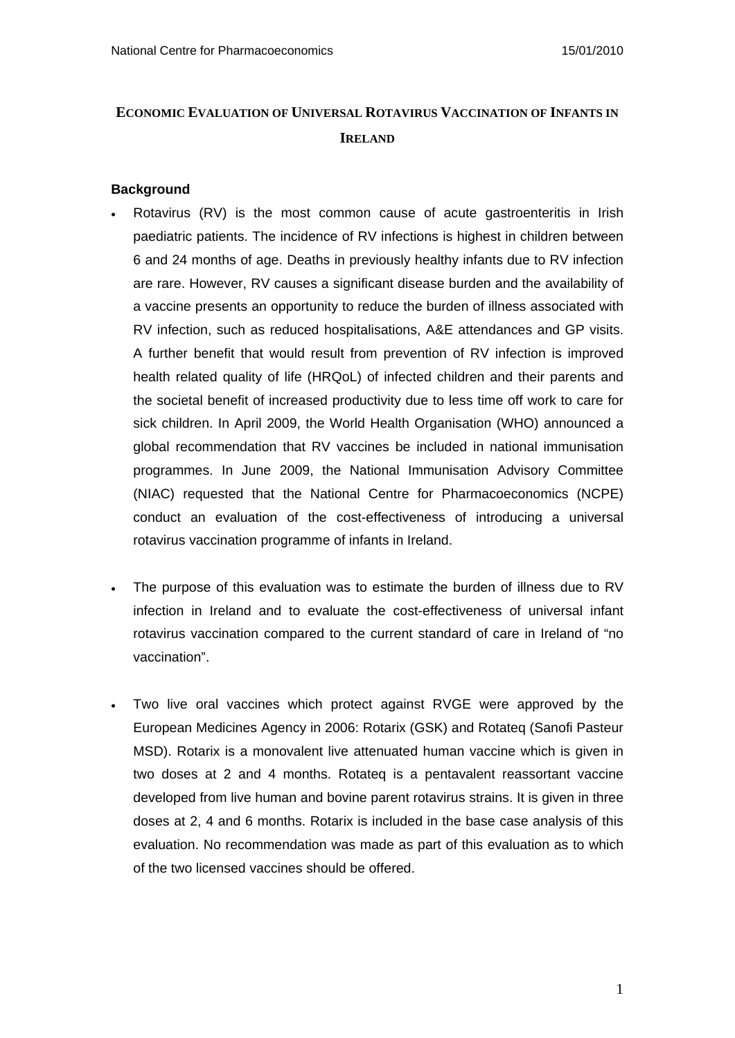# **ECONOMIC EVALUATION OF UNIVERSAL ROTAVIRUS VACCINATION OF INFANTS IN IRELAND**

## **Background**

- Rotavirus (RV) is the most common cause of acute gastroenteritis in Irish paediatric patients. The incidence of RV infections is highest in children between 6 and 24 months of age. Deaths in previously healthy infants due to RV infection are rare. However, RV causes a significant disease burden and the availability of a vaccine presents an opportunity to reduce the burden of illness associated with RV infection, such as reduced hospitalisations, A&E attendances and GP visits. A further benefit that would result from prevention of RV infection is improved health related quality of life (HRQoL) of infected children and their parents and the societal benefit of increased productivity due to less time off work to care for sick children. In April 2009, the World Health Organisation (WHO) announced a global recommendation that RV vaccines be included in national immunisation programmes. In June 2009, the National Immunisation Advisory Committee (NIAC) requested that the National Centre for Pharmacoeconomics (NCPE) conduct an evaluation of the cost-effectiveness of introducing a universal rotavirus vaccination programme of infants in Ireland.
- The purpose of this evaluation was to estimate the burden of illness due to RV infection in Ireland and to evaluate the cost-effectiveness of universal infant rotavirus vaccination compared to the current standard of care in Ireland of "no vaccination".
- Two live oral vaccines which protect against RVGE were approved by the European Medicines Agency in 2006: Rotarix (GSK) and Rotateq (Sanofi Pasteur MSD). Rotarix is a monovalent live attenuated human vaccine which is given in two doses at 2 and 4 months. Rotateq is a pentavalent reassortant vaccine developed from live human and bovine parent rotavirus strains. It is given in three doses at 2, 4 and 6 months. Rotarix is included in the base case analysis of this evaluation. No recommendation was made as part of this evaluation as to which of the two licensed vaccines should be offered.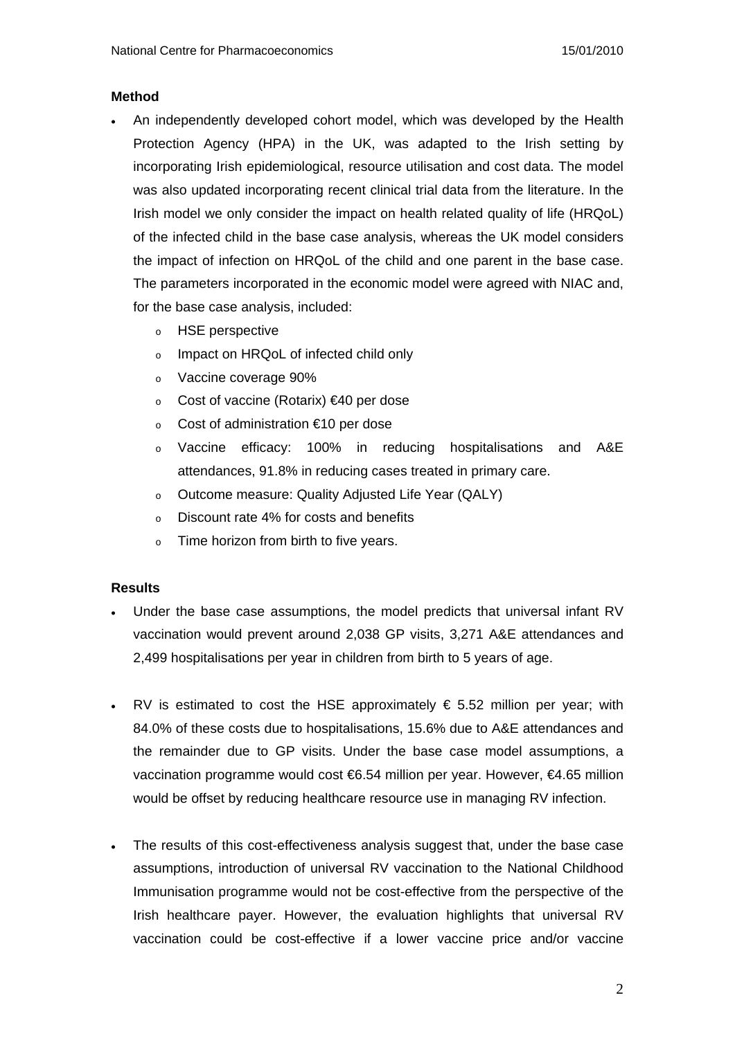## **Method**

- An independently developed cohort model, which was developed by the Health Protection Agency (HPA) in the UK, was adapted to the Irish setting by incorporating Irish epidemiological, resource utilisation and cost data. The model was also updated incorporating recent clinical trial data from the literature. In the Irish model we only consider the impact on health related quality of life (HRQoL) of the infected child in the base case analysis, whereas the UK model considers the impact of infection on HRQoL of the child and one parent in the base case. The parameters incorporated in the economic model were agreed with NIAC and, for the base case analysis, included:
	- o HSE perspective
	- o Impact on HRQoL of infected child only
	- o Vaccine coverage 90%
	- o Cost of vaccine (Rotarix) €40 per dose
	- o Cost of administration €10 per dose
	- o Vaccine efficacy: 100% in reducing hospitalisations and A&E attendances, 91.8% in reducing cases treated in primary care.
	- o Outcome measure: Quality Adjusted Life Year (QALY)
	- o Discount rate 4% for costs and benefits
	- o Time horizon from birth to five years.

# **Results**

- Under the base case assumptions, the model predicts that universal infant RV vaccination would prevent around 2,038 GP visits, 3,271 A&E attendances and 2,499 hospitalisations per year in children from birth to 5 years of age.
- RV is estimated to cost the HSE approximately  $\epsilon$  5.52 million per year; with 84.0% of these costs due to hospitalisations, 15.6% due to A&E attendances and the remainder due to GP visits. Under the base case model assumptions, a vaccination programme would cost €6.54 million per year. However, €4.65 million would be offset by reducing healthcare resource use in managing RV infection.
- The results of this cost-effectiveness analysis suggest that, under the base case assumptions, introduction of universal RV vaccination to the National Childhood Immunisation programme would not be cost-effective from the perspective of the Irish healthcare payer. However, the evaluation highlights that universal RV vaccination could be cost-effective if a lower vaccine price and/or vaccine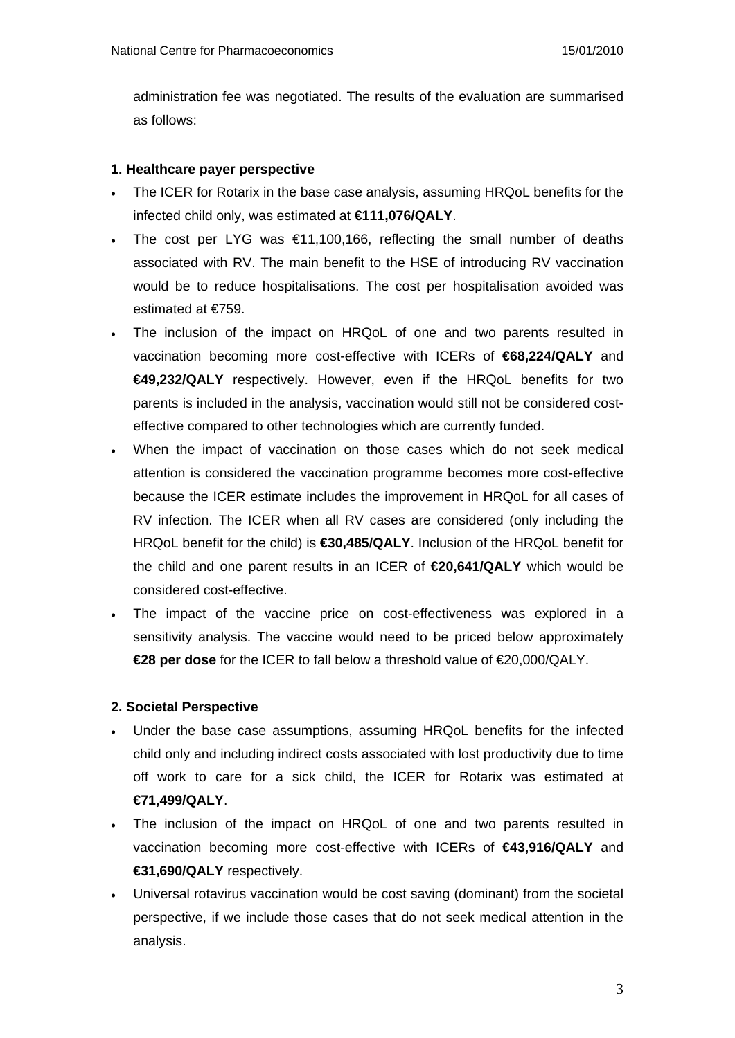administration fee was negotiated. The results of the evaluation are summarised as follows:

## **1. Healthcare payer perspective**

- The ICER for Rotarix in the base case analysis, assuming HRQoL benefits for the infected child only, was estimated at **€111,076/QALY**.
- The cost per LYG was  $\epsilon$ 11,100,166, reflecting the small number of deaths associated with RV. The main benefit to the HSE of introducing RV vaccination would be to reduce hospitalisations. The cost per hospitalisation avoided was estimated at €759.
- The inclusion of the impact on HRQoL of one and two parents resulted in vaccination becoming more cost-effective with ICERs of **€68,224/QALY** and **€49,232/QALY** respectively. However, even if the HRQoL benefits for two parents is included in the analysis, vaccination would still not be considered costeffective compared to other technologies which are currently funded.
- When the impact of vaccination on those cases which do not seek medical attention is considered the vaccination programme becomes more cost-effective because the ICER estimate includes the improvement in HRQoL for all cases of RV infection. The ICER when all RV cases are considered (only including the HRQoL benefit for the child) is **€30,485/QALY**. Inclusion of the HRQoL benefit for the child and one parent results in an ICER of **€20,641/QALY** which would be considered cost-effective.
- The impact of the vaccine price on cost-effectiveness was explored in a sensitivity analysis. The vaccine would need to be priced below approximately **€28 per dose** for the ICER to fall below a threshold value of €20,000/QALY.

# **2. Societal Perspective**

- Under the base case assumptions, assuming HRQoL benefits for the infected child only and including indirect costs associated with lost productivity due to time off work to care for a sick child, the ICER for Rotarix was estimated at **€71,499/QALY**.
- The inclusion of the impact on HRQoL of one and two parents resulted in vaccination becoming more cost-effective with ICERs of **€43,916/QALY** and **€31,690/QALY** respectively.
- Universal rotavirus vaccination would be cost saving (dominant) from the societal perspective, if we include those cases that do not seek medical attention in the analysis.